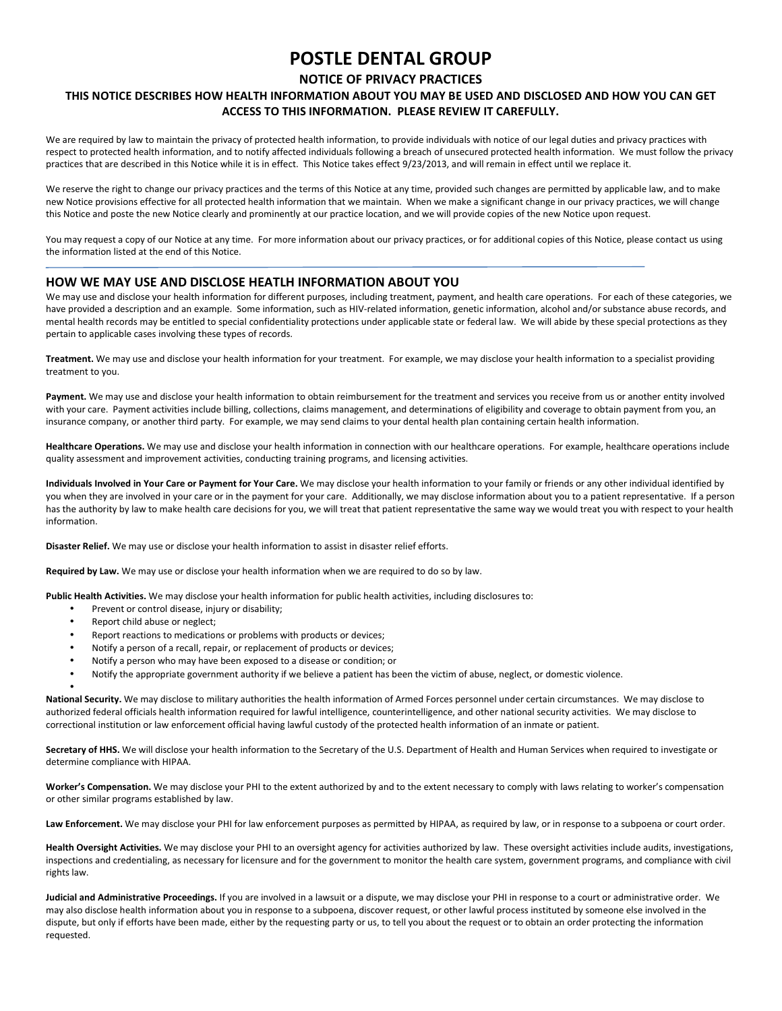# POSTLE DENTAL GROUP

## NOTICE OF PRIVACY PRACTICES

## THIS NOTICE DESCRIBES HOW HEALTH INFORMATION ABOUT YOU MAY BE USED AND DISCLOSED AND HOW YOU CAN GET ACCESS TO THIS INFORMATION. PLEASE REVIEW IT CAREFULLY.

We are required by law to maintain the privacy of protected health information, to provide individuals with notice of our legal duties and privacy practices with respect to protected health information, and to notify affected individuals following a breach of unsecured protected health information. We must follow the privacy practices that are described in this Notice while it is in effect. This Notice takes effect 9/23/2013, and will remain in effect until we replace it.

We reserve the right to change our privacy practices and the terms of this Notice at any time, provided such changes are permitted by applicable law, and to make new Notice provisions effective for all protected health information that we maintain. When we make a significant change in our privacy practices, we will change this Notice and poste the new Notice clearly and prominently at our practice location, and we will provide copies of the new Notice upon request.

You may request a copy of our Notice at any time. For more information about our privacy practices, or for additional copies of this Notice, please contact us using the information listed at the end of this Notice.

### HOW WE MAY USE AND DISCLOSE HEATLH INFORMATION ABOUT YOU

We may use and disclose your health information for different purposes, including treatment, payment, and health care operations. For each of these categories, we have provided a description and an example. Some information, such as HIV-related information, genetic information, alcohol and/or substance abuse records, and mental health records may be entitled to special confidentiality protections under applicable state or federal law. We will abide by these special protections as they pertain to applicable cases involving these types of records.

Treatment. We may use and disclose your health information for your treatment. For example, we may disclose your health information to a specialist providing treatment to you.

Payment. We may use and disclose your health information to obtain reimbursement for the treatment and services you receive from us or another entity involved with your care. Payment activities include billing, collections, claims management, and determinations of eligibility and coverage to obtain payment from you, an insurance company, or another third party. For example, we may send claims to your dental health plan containing certain health information.

Healthcare Operations. We may use and disclose your health information in connection with our healthcare operations. For example, healthcare operations include quality assessment and improvement activities, conducting training programs, and licensing activities.

Individuals Involved in Your Care or Payment for Your Care. We may disclose your health information to your family or friends or any other individual identified by you when they are involved in your care or in the payment for your care. Additionally, we may disclose information about you to a patient representative. If a person has the authority by law to make health care decisions for you, we will treat that patient representative the same way we would treat you with respect to your health information.

Disaster Relief. We may use or disclose your health information to assist in disaster relief efforts.

Required by Law. We may use or disclose your health information when we are required to do so by law.

Public Health Activities. We may disclose your health information for public health activities, including disclosures to:

- Prevent or control disease, injury or disability;
- Report child abuse or neglect;

•

- Report reactions to medications or problems with products or devices;
- Notify a person of a recall, repair, or replacement of products or devices;
- Notify a person who may have been exposed to a disease or condition; or
- Notify the appropriate government authority if we believe a patient has been the victim of abuse, neglect, or domestic violence.

National Security. We may disclose to military authorities the health information of Armed Forces personnel under certain circumstances. We may disclose to authorized federal officials health information required for lawful intelligence, counterintelligence, and other national security activities. We may disclose to correctional institution or law enforcement official having lawful custody of the protected health information of an inmate or patient.

Secretary of HHS. We will disclose your health information to the Secretary of the U.S. Department of Health and Human Services when required to investigate or determine compliance with HIPAA.

Worker's Compensation. We may disclose your PHI to the extent authorized by and to the extent necessary to comply with laws relating to worker's compensation or other similar programs established by law.

Law Enforcement. We may disclose your PHI for law enforcement purposes as permitted by HIPAA, as required by law, or in response to a subpoena or court order.

Health Oversight Activities. We may disclose your PHI to an oversight agency for activities authorized by law. These oversight activities include audits, investigations, inspections and credentialing, as necessary for licensure and for the government to monitor the health care system, government programs, and compliance with civil rights law.

Judicial and Administrative Proceedings. If you are involved in a lawsuit or a dispute, we may disclose your PHI in response to a court or administrative order. We may also disclose health information about you in response to a subpoena, discover request, or other lawful process instituted by someone else involved in the dispute, but only if efforts have been made, either by the requesting party or us, to tell you about the request or to obtain an order protecting the information requested.